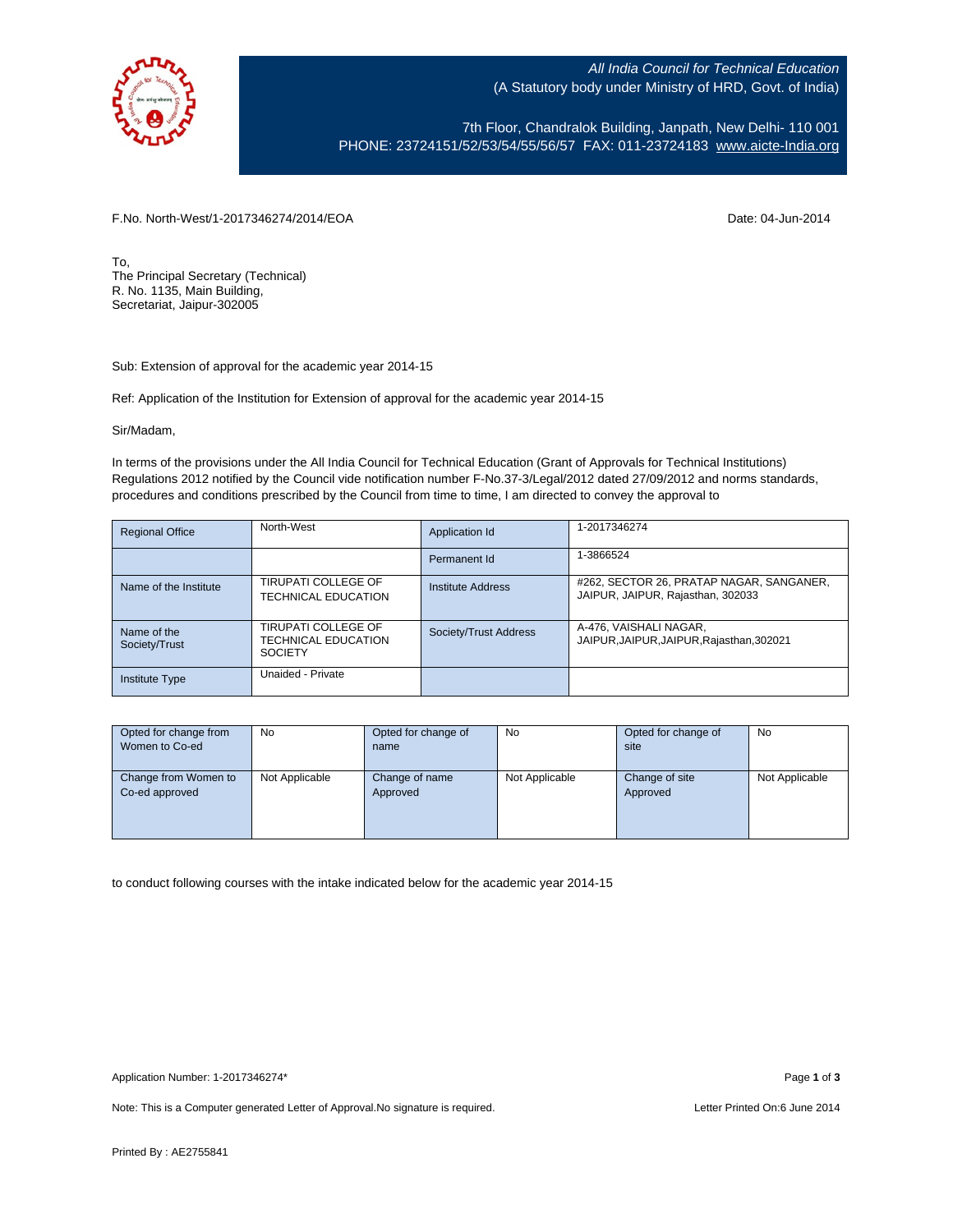

All India Council for Technical Education (A Statutory body under Ministry of HRD, Govt. of India)

7th Floor, Chandralok Building, Janpath, New Delhi- 110 001 PHONE: 23724151/52/53/54/55/56/57 FAX: 011-23724183 [www.aicte-India.org](http://www.aicte-india.org/)

F.No. North-West/1-2017346274/2014/EOA Date: 04-Jun-2014

To, The Principal Secretary (Technical) R. No. 1135, Main Building, Secretariat, Jaipur-302005

Sub: Extension of approval for the academic year 2014-15

Ref: Application of the Institution for Extension of approval for the academic year 2014-15

Sir/Madam,

In terms of the provisions under the All India Council for Technical Education (Grant of Approvals for Technical Institutions) Regulations 2012 notified by the Council vide notification number F-No.37-3/Legal/2012 dated 27/09/2012 and norms standards, procedures and conditions prescribed by the Council from time to time, I am directed to convey the approval to

| <b>Regional Office</b>       | North-West                                                          | Application Id           | 1-2017346274                                                                  |
|------------------------------|---------------------------------------------------------------------|--------------------------|-------------------------------------------------------------------------------|
|                              |                                                                     | Permanent Id             | 1-3866524                                                                     |
| Name of the Institute        | TIRUPATI COLLEGE OF<br>TECHNICAL EDUCATION                          | <b>Institute Address</b> | #262, SECTOR 26, PRATAP NAGAR, SANGANER,<br>JAIPUR, JAIPUR, Rajasthan, 302033 |
| Name of the<br>Society/Trust | TIRUPATI COLLEGE OF<br><b>TECHNICAL EDUCATION</b><br><b>SOCIETY</b> | Society/Trust Address    | A-476, VAISHALI NAGAR,<br>JAIPUR, JAIPUR, JAIPUR, Rajasthan, 302021           |
| <b>Institute Type</b>        | Unaided - Private                                                   |                          |                                                                               |

| Opted for change from | No             | Opted for change of | <b>No</b>      | Opted for change of | No             |
|-----------------------|----------------|---------------------|----------------|---------------------|----------------|
| Women to Co-ed        |                | name                |                | site                |                |
|                       |                |                     |                |                     |                |
| Change from Women to  | Not Applicable | Change of name      | Not Applicable | Change of site      | Not Applicable |
| Co-ed approved        |                | Approved            |                | Approved            |                |
|                       |                |                     |                |                     |                |
|                       |                |                     |                |                     |                |
|                       |                |                     |                |                     |                |

to conduct following courses with the intake indicated below for the academic year 2014-15

Note: This is a Computer generated Letter of Approval. No signature is required. Letter Printed On:6 June 2014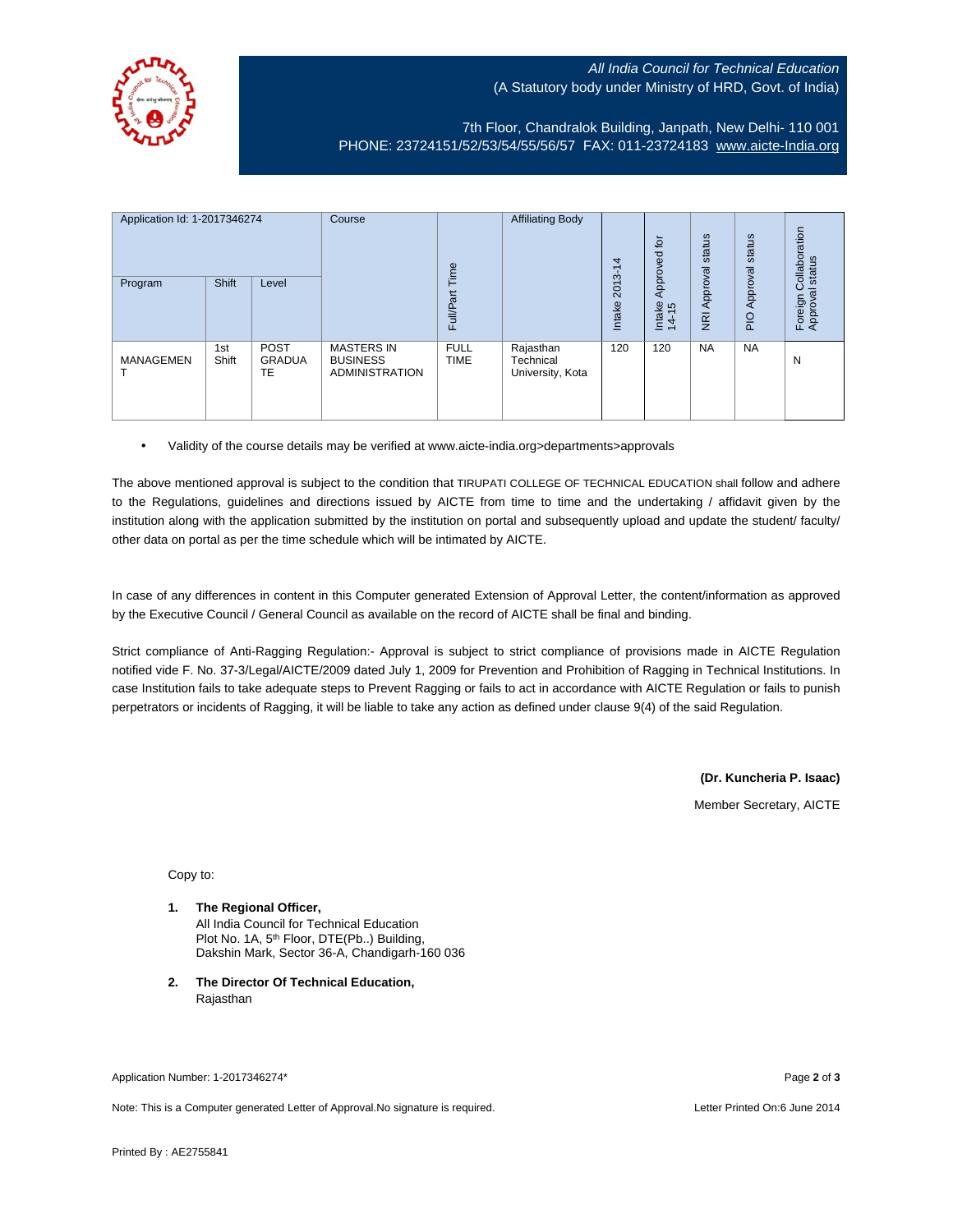## All India Council for Technical Education (A Statutory body under Ministry of HRD, Govt. of India)



7th Floor, Chandralok Building, Janpath, New Delhi- 110 001 PHONE: 23724151/52/53/54/55/56/57 FAX: 011-23724183 [www.aicte-India.org](http://www.aicte-india.org/)

| Application Id: 1-2017346274<br>Program | Shift        | Level                              | Course                                                        | Time<br><b>Full/Part</b>   | <b>Affiliating Body</b>                    | 4<br>7<br>2013-<br>Intake | 호<br>Approved<br>Intake<br>14-15 | status<br>Approval<br>$\overline{g}$ | status<br>Approval<br>$\frac{1}{2}$ | ollaboration<br>status<br>ပ<br>Foreign C<br>Approval |
|-----------------------------------------|--------------|------------------------------------|---------------------------------------------------------------|----------------------------|--------------------------------------------|---------------------------|----------------------------------|--------------------------------------|-------------------------------------|------------------------------------------------------|
| <b>MANAGEMEN</b>                        | 1st<br>Shift | <b>POST</b><br><b>GRADUA</b><br>TE | <b>MASTERS IN</b><br><b>BUSINESS</b><br><b>ADMINISTRATION</b> | <b>FULL</b><br><b>TIME</b> | Rajasthan<br>Technical<br>University, Kota | 120                       | 120                              | <b>NA</b>                            | <b>NA</b>                           | N                                                    |

• Validity of the course details may be verified at www.aicte-india.org>departments>approvals

The above mentioned approval is subject to the condition that TIRUPATI COLLEGE OF TECHNICAL EDUCATION shall follow and adhere to the Regulations, guidelines and directions issued by AICTE from time to time and the undertaking / affidavit given by the institution along with the application submitted by the institution on portal and subsequently upload and update the student/ faculty/ other data on portal as per the time schedule which will be intimated by AICTE.

In case of any differences in content in this Computer generated Extension of Approval Letter, the content/information as approved by the Executive Council / General Council as available on the record of AICTE shall be final and binding.

Strict compliance of Anti-Ragging Regulation:- Approval is subject to strict compliance of provisions made in AICTE Regulation notified vide F. No. 37-3/Legal/AICTE/2009 dated July 1, 2009 for Prevention and Prohibition of Ragging in Technical Institutions. In case Institution fails to take adequate steps to Prevent Ragging or fails to act in accordance with AICTE Regulation or fails to punish perpetrators or incidents of Ragging, it will be liable to take any action as defined under clause 9(4) of the said Regulation.

> **(Dr. Kuncheria P. Isaac)** Member Secretary, AICTE

Copy to:

- **1. The Regional Officer,** All India Council for Technical Education Plot No. 1A, 5<sup>th</sup> Floor, DTE(Pb..) Building, Dakshin Mark, Sector 36-A, Chandigarh-160 036
- **2. The Director Of Technical Education,** Rajasthan

Application Number: 1-2017346274\* Page **2** of **3**

Note: This is a Computer generated Letter of Approval.No signature is required. Letter Printed On:6 June 2014